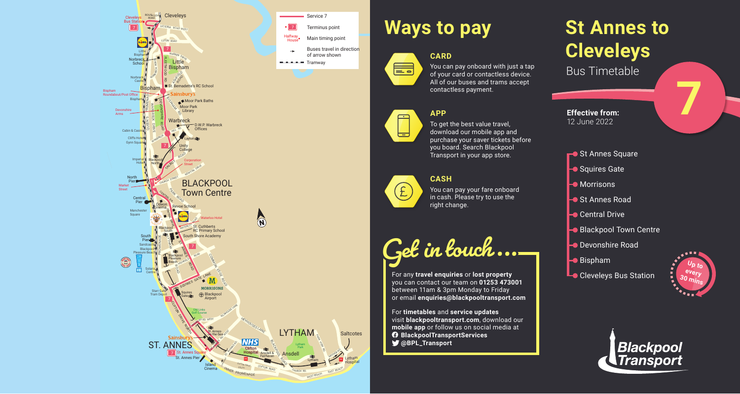# **St Annes to Cleveleys** Bus Timetable





### You can pay onboard with just a tap of your card or contactless device. All of our buses and trams accept contactless payment.

**7**



# **Ways to pay**

**CARD**







To get the best value travel, download our mobile app and purchase your saver tickets before you board. Search Blackpool Transport in your app store.

### **CASH**



You can pay your fare onboard in cash. Please try to use the right change.

**Get in touch...**

For any **travel enquiries** or **lost property** you can contact our team on **01253 473001** between 11am & 3pm Monday to Friday or email **enquiries@blackpooltransport.com**

For **timetables** and **service updates** visit **blackpooltransport.com**, download our **mobile app** or follow us on social media at **BlackpoolTransportServices @BPL\_Transport**





**Effective from:** 12 June 2022

- St Annes Square
- Squires Gate
- **Morrisons**
- St Annes Road
- **C**entral Drive
- Blackpool Town Centre
- **Devonshire Road**
- $\blacktriangleright$  Bispham
- **Cleveleys Bus Station**